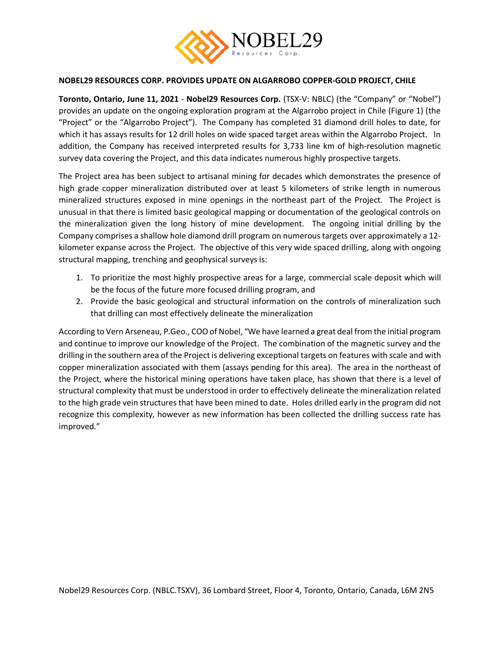

## **NOBEL29 RESOURCES CORP. PROVIDES UPDATE ON ALGARROBO COPPER-GOLD PROJECT, CHILE**

**Toronto, Ontario, June 11, 2021** - **Nobel29 Resources Corp.** (TSX-V: NBLC) (the "Company" or "Nobel") provides an update on the ongoing exploration program at the Algarrobo project in Chile (Figure 1) (the "Project" or the "Algarrobo Project"). The Company has completed 31 diamond drill holes to date, for which it has assays results for 12 drill holes on wide spaced target areas within the Algarrobo Project. In addition, the Company has received interpreted results for 3,733 line km of high-resolution magnetic survey data covering the Project, and this data indicates numerous highly prospective targets.

The Project area has been subject to artisanal mining for decades which demonstrates the presence of high grade copper mineralization distributed over at least 5 kilometers of strike length in numerous mineralized structures exposed in mine openings in the northeast part of the Project. The Project is unusual in that there is limited basic geological mapping or documentation of the geological controls on the mineralization given the long history of mine development. The ongoing initial drilling by the Company comprises a shallow hole diamond drill program on numerous targets over approximately a 12 kilometer expanse across the Project. The objective of this very wide spaced drilling, along with ongoing structural mapping, trenching and geophysical surveys is:

- 1. To prioritize the most highly prospective areas for a large, commercial scale deposit which will be the focus of the future more focused drilling program, and
- 2. Provide the basic geological and structural information on the controls of mineralization such that drilling can most effectively delineate the mineralization

According to Vern Arseneau, P.Geo., COO of Nobel, "We have learned a great deal from the initial program and continue to improve our knowledge of the Project. The combination of the magnetic survey and the drilling in the southern area of the Project is delivering exceptional targets on features with scale and with copper mineralization associated with them (assays pending for this area). The area in the northeast of the Project, where the historical mining operations have taken place, has shown that there is a level of structural complexity that must be understood in order to effectively delineate the mineralization related to the high grade vein structures that have been mined to date. Holes drilled early in the program did not recognize this complexity, however as new information has been collected the drilling success rate has improved."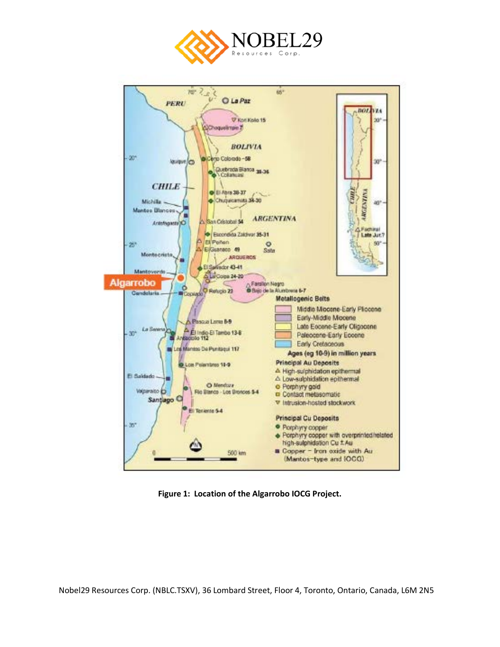



**Figure 1: Location of the Algarrobo IOCG Project.**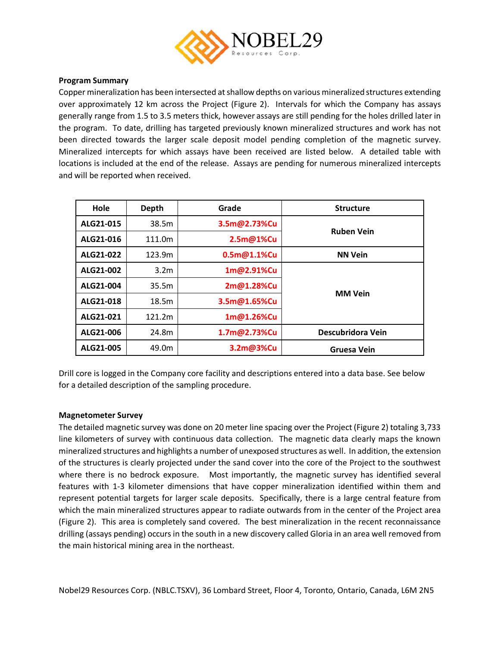

# **Program Summary**

Copper mineralization has been intersected at shallow depths on various mineralized structures extending over approximately 12 km across the Project (Figure 2). Intervals for which the Company has assays generally range from 1.5 to 3.5 meters thick, however assays are still pending for the holes drilled later in the program. To date, drilling has targeted previously known mineralized structures and work has not been directed towards the larger scale deposit model pending completion of the magnetic survey. Mineralized intercepts for which assays have been received are listed below. A detailed table with locations is included at the end of the release. Assays are pending for numerous mineralized intercepts and will be reported when received.

| Hole      | Depth            | Grade                    | <b>Structure</b>  |  |  |  |
|-----------|------------------|--------------------------|-------------------|--|--|--|
| ALG21-015 | 38.5m            | 3.5m@2.73%Cu             | <b>Ruben Vein</b> |  |  |  |
| ALG21-016 | 111.0m           | 2.5m@1%Cu                |                   |  |  |  |
| ALG21-022 | 123.9m           | 0.5 <sub>m@1.1%</sub> Cu | <b>NN Vein</b>    |  |  |  |
| ALG21-002 | 3.2 <sub>m</sub> | 1m@2.91%Cu               |                   |  |  |  |
| ALG21-004 | 35.5m            | 2m@1.28%Cu               | <b>MM Vein</b>    |  |  |  |
| ALG21-018 | 18.5m            | 3.5m@1.65%Cu             |                   |  |  |  |
| ALG21-021 | 121.2m           | 1m@1.26%Cu               |                   |  |  |  |
| ALG21-006 | 24.8m            | 1.7m@2.73%Cu             | Descubridora Vein |  |  |  |
| ALG21-005 | 49.0m            | 3.2m@3%Cu                | Gruesa Vein       |  |  |  |

Drill core is logged in the Company core facility and descriptions entered into a data base. See below for a detailed description of the sampling procedure.

#### **Magnetometer Survey**

The detailed magnetic survey was done on 20 meter line spacing over the Project (Figure 2) totaling 3,733 line kilometers of survey with continuous data collection. The magnetic data clearly maps the known mineralized structures and highlights a number of unexposed structures as well. In addition, the extension of the structures is clearly projected under the sand cover into the core of the Project to the southwest where there is no bedrock exposure. Most importantly, the magnetic survey has identified several features with 1-3 kilometer dimensions that have copper mineralization identified within them and represent potential targets for larger scale deposits. Specifically, there is a large central feature from which the main mineralized structures appear to radiate outwards from in the center of the Project area (Figure 2). This area is completely sand covered. The best mineralization in the recent reconnaissance drilling (assays pending) occurs in the south in a new discovery called Gloria in an area well removed from the main historical mining area in the northeast.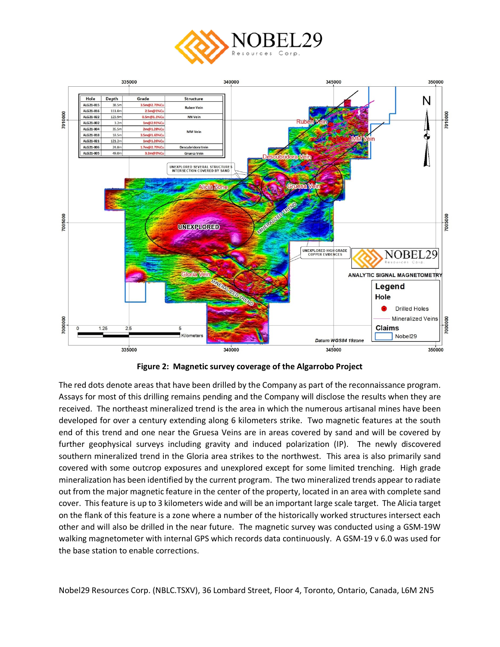



**Figure 2: Magnetic survey coverage of the Algarrobo Project**

The red dots denote areas that have been drilled by the Company as part of the reconnaissance program. Assays for most of this drilling remains pending and the Company will disclose the results when they are received. The northeast mineralized trend is the area in which the numerous artisanal mines have been developed for over a century extending along 6 kilometers strike. Two magnetic features at the south end of this trend and one near the Gruesa Veins are in areas covered by sand and will be covered by further geophysical surveys including gravity and induced polarization (IP). The newly discovered southern mineralized trend in the Gloria area strikes to the northwest. This area is also primarily sand covered with some outcrop exposures and unexplored except for some limited trenching. High grade mineralization has been identified by the current program. The two mineralized trends appear to radiate out from the major magnetic feature in the center of the property, located in an area with complete sand cover. This feature is up to 3 kilometers wide and will be an important large scale target. The Alicia target on the flank of this feature is a zone where a number of the historically worked structures intersect each other and will also be drilled in the near future. The magnetic survey was conducted using a GSM-19W walking magnetometer with internal GPS which records data continuously. A GSM-19 v 6.0 was used for the base station to enable corrections.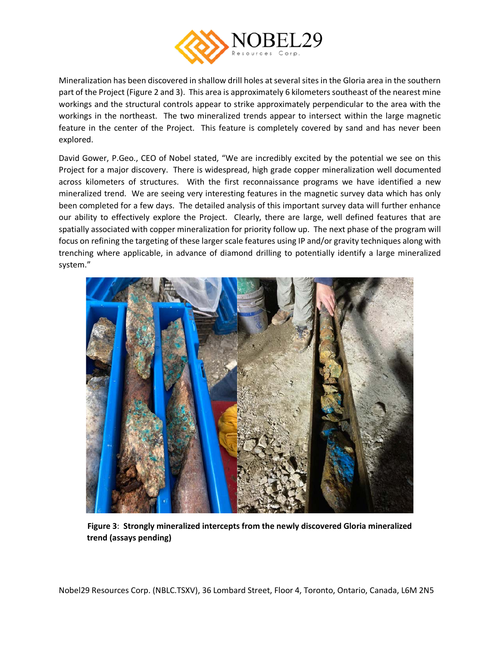

Mineralization has been discovered in shallow drill holes at several sites in the Gloria area in the southern part of the Project (Figure 2 and 3). This area is approximately 6 kilometers southeast of the nearest mine workings and the structural controls appear to strike approximately perpendicular to the area with the workings in the northeast. The two mineralized trends appear to intersect within the large magnetic feature in the center of the Project. This feature is completely covered by sand and has never been explored.

David Gower, P.Geo., CEO of Nobel stated, "We are incredibly excited by the potential we see on this Project for a major discovery. There is widespread, high grade copper mineralization well documented across kilometers of structures. With the first reconnaissance programs we have identified a new mineralized trend. We are seeing very interesting features in the magnetic survey data which has only been completed for a few days. The detailed analysis of this important survey data will further enhance our ability to effectively explore the Project. Clearly, there are large, well defined features that are spatially associated with copper mineralization for priority follow up. The next phase of the program will focus on refining the targeting of these larger scale features using IP and/or gravity techniques along with trenching where applicable, in advance of diamond drilling to potentially identify a large mineralized system."



**Figure 3**: **Strongly mineralized intercepts from the newly discovered Gloria mineralized trend (assays pending)**

Nobel29 Resources Corp. (NBLC.TSXV), 36 Lombard Street, Floor 4, Toronto, Ontario, Canada, L6M 2N5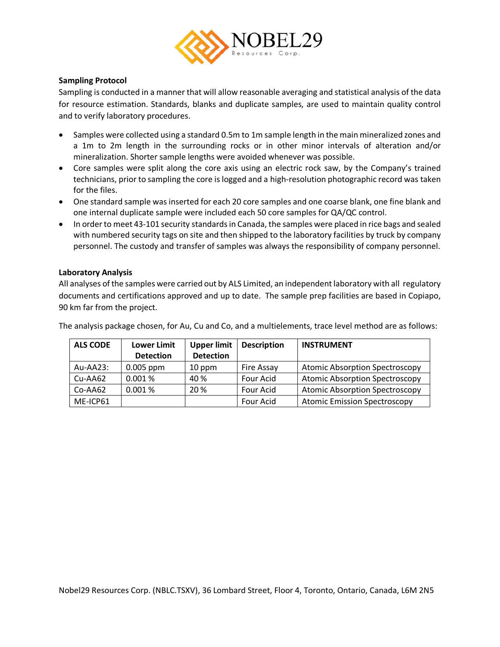

# **Sampling Protocol**

Sampling is conducted in a manner that will allow reasonable averaging and statistical analysis of the data for resource estimation. Standards, blanks and duplicate samples, are used to maintain quality control and to verify laboratory procedures.

- Samples were collected using a standard 0.5m to 1m sample length in the main mineralized zones and a 1m to 2m length in the surrounding rocks or in other minor intervals of alteration and/or mineralization. Shorter sample lengths were avoided whenever was possible.
- Core samples were split along the core axis using an electric rock saw, by the Company's trained technicians, prior to sampling the core is logged and a high-resolution photographic record was taken for the files.
- One standard sample was inserted for each 20 core samples and one coarse blank, one fine blank and one internal duplicate sample were included each 50 core samples for QA/QC control.
- In order to meet 43-101 security standards in Canada, the samples were placed in rice bags and sealed with numbered security tags on site and then shipped to the laboratory facilities by truck by company personnel. The custody and transfer of samples was always the responsibility of company personnel.

# **Laboratory Analysis**

All analyses of the samples were carried out by ALS Limited, an independent laboratory with all regulatory documents and certifications approved and up to date. The sample prep facilities are based in Copiapo, 90 km far from the project.

The analysis package chosen, for Au, Cu and Co, and a multielements, trace level method are as follows:

| <b>ALS CODE</b> | <b>Lower Limit</b> | <b>Upper limit</b> | <b>Description</b> | <b>INSTRUMENT</b>                     |  |  |  |
|-----------------|--------------------|--------------------|--------------------|---------------------------------------|--|--|--|
|                 | <b>Detection</b>   | <b>Detection</b>   |                    |                                       |  |  |  |
| $Au-AA23:$      | $0.005$ ppm        | 10 ppm             | Fire Assay         | <b>Atomic Absorption Spectroscopy</b> |  |  |  |
| $Cu-AA62$       | 0.001%             | 40 %               | Four Acid          | <b>Atomic Absorption Spectroscopy</b> |  |  |  |
| Co-AA62         | 0.001%             | 20 %               | Four Acid          | <b>Atomic Absorption Spectroscopy</b> |  |  |  |
| ME-ICP61        |                    |                    | Four Acid          | <b>Atomic Emission Spectroscopy</b>   |  |  |  |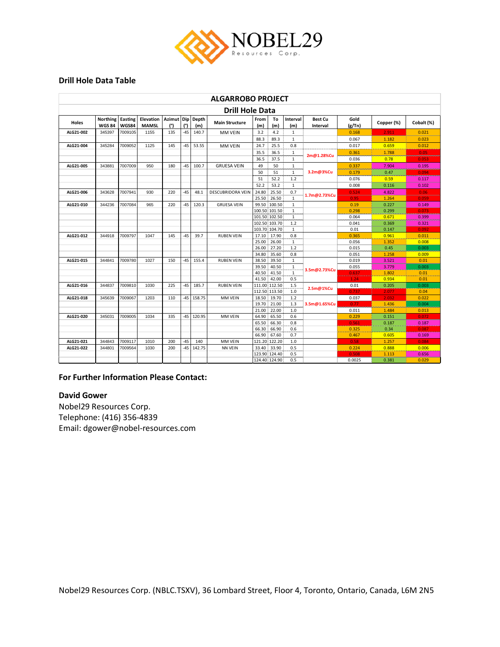

#### **Drill Hole Data Table**

| <b>ALGARROBO PROJECT</b> |                                  |                  |                           |                         |       |              |                          |                |                |                                |                            |                |               |                |
|--------------------------|----------------------------------|------------------|---------------------------|-------------------------|-------|--------------|--------------------------|----------------|----------------|--------------------------------|----------------------------|----------------|---------------|----------------|
| <b>Drill Hole Data</b>   |                                  |                  |                           |                         |       |              |                          |                |                |                                |                            |                |               |                |
| Holes                    | <b>Northing</b><br><b>WGS 84</b> | Easting<br>WGS84 | Elevation<br><b>MAMSL</b> | Azimut Dip Depth<br>(°) | (°)   | (m)          | <b>Main Structure</b>    | From<br>(m)    | To<br>(m)      | Interval<br>(m)                | <b>Best Cu</b><br>Interval | Gold<br>(g/Tn) | Copper (%)    | Cobalt (%)     |
| ALG21-002                | 345397                           | 7009105          | 1155                      | 135                     | -45   | 140.7        | <b>MM VEIN</b>           | 3.2            | 4.2            | $\mathbf{1}$                   |                            | 0.168          | 2.911         | 0.021          |
|                          |                                  |                  |                           |                         |       |              |                          | 88.3           | 89.3           | $\mathbf{1}$                   |                            | 0.067          | 1.182         | 0.023          |
| ALG21-004                | 345284                           | 7009052          | 1125                      | 145                     | $-45$ | 53.55        | <b>MM VEIN</b>           | 24.7           | 25.5           | 0.8                            |                            | 0.017          | 0.659         | 0.012          |
|                          |                                  |                  |                           |                         |       |              |                          | 35.5           | 36.5           | $\mathbf{1}$                   | 2m@1.28%Cu                 | 0.361          | 1.788         | 0.05           |
|                          |                                  |                  |                           |                         |       |              |                          | 36.5           | 37.5           | $\mathbf{1}$                   |                            | 0.036          | 0.78          | 0.053          |
| ALG21-005                | 343881                           | 7007009          | 950                       | 180                     | $-45$ | 100.7        | <b>GRUESA VEIN</b>       | 49             | 50             | $1\,$                          |                            | 0.337          | 7.904         | 0.195          |
|                          |                                  |                  |                           |                         |       |              |                          | 50             | 51             | $\mathbf{1}$                   | 3.2m@3%Cu                  | 0.179          | 0.47          | 0.094          |
|                          |                                  |                  |                           |                         |       |              |                          | 51             | 52.2           | 1.2                            |                            | 0.076          | 0.59          | 0.117          |
|                          |                                  |                  |                           |                         |       |              |                          | 52.2           | 53.2           | $\mathbf{1}$                   |                            | 0.008          | 0.116         | 0.102          |
| ALG21-006                | 343628                           | 7007941          | 930                       | 220                     | $-45$ | 48.1         | <b>DESCUBRIDORA VEIN</b> | 24.80          | 25.50          | 0.7                            | 1.7m@2.73%Cu               | 0.524          | 4.822         | 0.06           |
|                          |                                  |                  |                           |                         |       |              |                          | 25.50          | 26.50          | $\mathbf{1}$                   |                            | 0.95           | 1.264         | 0.059          |
| ALG21-010                | 344236                           | 7007084          | 965                       | 220                     | $-45$ | 120.3        | <b>GRUESA VEIN</b>       |                | 99.50 100.50   | $\mathbf{1}$                   |                            | 0.19           | 0.227         | 0.149          |
|                          |                                  |                  |                           |                         |       |              |                          |                | 100.50 101.50  | $\mathbf{1}$                   |                            | 0.298          | 0.299         | 0.073          |
|                          |                                  |                  |                           |                         |       |              |                          |                | 101.50 102.50  | 1                              |                            | 0.064          | 0.671         | 0.399          |
|                          |                                  |                  |                           |                         |       |              |                          |                | 102.50 103.70  | 1.2                            |                            | 0.041          | 0.369         | 0.321          |
|                          |                                  |                  |                           |                         |       |              |                          | 103.70 104.70  |                | $\mathbf{1}$                   |                            | 0.01           | 0.147         | 0.092          |
| ALG21-012                | 344918                           | 7009797          | 1047                      | 145                     | $-45$ | 39.7         | <b>RUBEN VEIN</b>        |                | 17.10 17.90    | 0.8                            |                            | 0.365          | 0.961         | 0.011          |
|                          |                                  |                  |                           |                         |       |              |                          | 25.00          | 26.00          | $\mathbf{1}$<br>$1.2$          |                            | 0.056          | 1.352         | 0.008          |
|                          |                                  |                  |                           |                         |       |              |                          | 26.00<br>34.80 | 27.20<br>35.60 | 0.8                            |                            | 0.015<br>0.051 | 0.45<br>1.258 | 0.003<br>0.009 |
| ALG21-015                | 344841                           | 7009780          | 1027                      | 150                     | $-45$ | 155.4        | <b>RUBEN VEIN</b>        | 38.50          | 39.50          |                                |                            | 0.019          | 3.521         | 0.01           |
|                          |                                  |                  |                           |                         |       |              |                          | 39.50          | 40.50          | $\overline{1}$                 |                            | 0.055          | 3.779         | 0.003          |
|                          |                                  |                  |                           |                         |       |              |                          | 40.50          | 41.50          | $\overline{1}$<br>$\mathbf{1}$ | 3.5m@2.73%Cu               | 0.637          | 1.802         | 0.01           |
|                          |                                  |                  |                           |                         |       |              |                          | 41.50          | 42.00          | 0.5                            |                            | 1.24           | 0.934         | 0.01           |
| ALG21-016                | 344837                           | 7009810          | 1030                      | 225                     | -45   | 185.7        | <b>RUBEN VEIN</b>        |                | 111.00 112.50  | $1.5\,$                        |                            | 0.01           | 0.205         | 0.003          |
|                          |                                  |                  |                           |                         |       |              |                          |                | 112.50 113.50  | $1.0$                          | 2.5m@1%Cu                  | 0.737          | 2.077         | 0.04           |
| ALG21-018                | 345639                           | 7009067          | 1203                      | 110                     |       | $-45$ 158.75 | MM VEIN                  | 18.50          | 19.70          | 1.2                            |                            | 0.037          | 2.032         | 0.022          |
|                          |                                  |                  |                           |                         |       |              |                          | 19.70          | 21.00          | 1.3                            | 3.5m@1.65%Cu               | 0.77           | 1.436         | 0.004          |
|                          |                                  |                  |                           |                         |       |              |                          | 21.00          | 22.00          | 1.0                            |                            | 0.011          | 1.484         | 0.013          |
| ALG21-020                | 345031                           | 7009005          | 1034                      | 335                     | $-45$ | 120.95       | MM VEIN                  | 64.90          | 65.50          | 0.6                            |                            | 0.229          | 0.151         | 0.072          |
|                          |                                  |                  |                           |                         |       |              |                          | 65.50          | 66.30          | 0.8                            |                            | 0.561          | 0.187         | 0.187          |
|                          |                                  |                  |                           |                         |       |              |                          | 66.30          | 66.90          | 0.6                            |                            | 0.325          | 0.34          | 0.087          |
|                          |                                  |                  |                           |                         |       |              |                          | 66.90          | 67.60          | 0.7                            |                            | 0.467          | 0.605         | 0.169          |
| ALG21-021                | 344843                           | 7009117          | 1010                      | 200                     | $-45$ | 140          | MM VEIN                  |                | 121.20 122.20  | 1.0                            |                            | 0.58           | 1.257         | 0.084          |
| ALG21-022                | 344801                           | 7009564          | 1030                      | 200                     | $-45$ | 142.75       | <b>NN VEIN</b>           | 33.40          | 33.90          | 0.5                            |                            | 0.224          | 0.888         | 0.006          |
|                          |                                  |                  |                           |                         |       |              |                          |                | 123.90 124.40  | 0.5                            |                            | 0.508          | 1.113         | 0.656          |
|                          |                                  |                  |                           |                         |       |              |                          |                | 124.40 124.90  | 0.5                            |                            | 0.0025         | 0.381         | 0.029          |

## **For Further Information Please Contact:**

## **David Gower**

Nobel29 Resources Corp. Telephone: (416) 356-4839 Email: dgower@nobel-resources.com